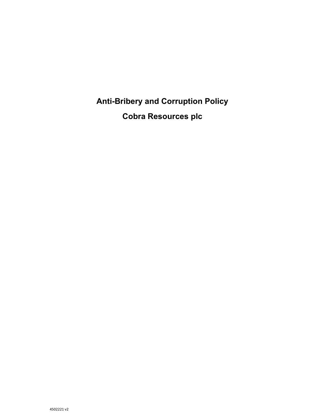**Anti-Bribery and Corruption Policy Cobra Resources plc**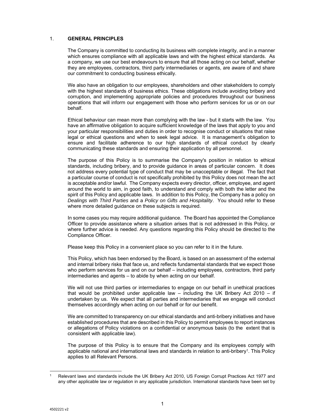## 1. **GENERAL PRINCIPLES**

The Company is committed to conducting its business with complete integrity, and in a manner which ensures compliance with all applicable laws and with the highest ethical standards. As a company, we use our best endeavours to ensure that all those acting on our behalf, whether they are employees, contractors, third party intermediaries or agents, are aware of and share our commitment to conducting business ethically.

We also have an obligation to our employees, shareholders and other stakeholders to comply with the highest standards of business ethics. These obligations include avoiding bribery and corruption, and implementing appropriate policies and procedures throughout our business operations that will inform our engagement with those who perform services for us or on our behalf.

Ethical behaviour can mean more than complying with the law - but it starts with the law. You have an affirmative obligation to acquire sufficient knowledge of the laws that apply to you and your particular responsibilities and duties in order to recognise conduct or situations that raise legal or ethical questions and when to seek legal advice. It is management's obligation to ensure and facilitate adherence to our high standards of ethical conduct by clearly communicating these standards and ensuring their application by all personnel.

The purpose of this Policy is to summarise the Company's position in relation to ethical standards, including bribery, and to provide guidance in areas of particular concern. It does not address every potential type of conduct that may be unacceptable or illegal. The fact that a particular course of conduct is not specifically prohibited by this Policy does not mean the act is acceptable and/or lawful. The Company expects every director, officer, employee, and agent around the world to aim, in good faith, to understand and comply with both the letter and the spirit of this Policy and applicable laws. In addition to this Policy, the Company has a policy on *Dealings with Third Parties* and a *Policy on Gifts and Hospitality*. You should refer to these where more detailed guidance on these subjects is required.

In some cases you may require additional guidance. The Board has appointed the Compliance Officer to provide assistance where a situation arises that is not addressed in this Policy, or where further advice is needed. Any questions regarding this Policy should be directed to the Compliance Officer.

Please keep this Policy in a convenient place so you can refer to it in the future.

This Policy, which has been endorsed by the Board, is based on an assessment of the external and internal bribery risks that face us, and reflects fundamental standards that we expect those who perform services for us and on our behalf – including employees, contractors, third party intermediaries and agents – to abide by when acting on our behalf.

We will not use third parties or intermediaries to engage on our behalf in unethical practices that would be prohibited under applicable law – including the UK Bribery Act 2010 – if undertaken by us. We expect that all parties and intermediaries that we engage will conduct themselves accordingly when acting on our behalf or for our benefit.

We are committed to transparency on our ethical standards and anti-bribery initiatives and have established procedures that are described in this Policy to permit employees to report instances or allegations of Policy violations on a confidential or anonymous basis (to the extent that is consistent with applicable law).

The purpose of this Policy is to ensure that the Company and its employees comply with applicable national and international laws and standards in relation to anti-bribery<sup>1</sup>. This Policy applies to all Relevant Persons.

 <sup>1</sup> Relevant laws and standards include the UK Bribery Act 2010, US Foreign Corrupt Practices Act 1977 and any other applicable law or regulation in any applicable jurisdiction. International standards have been set by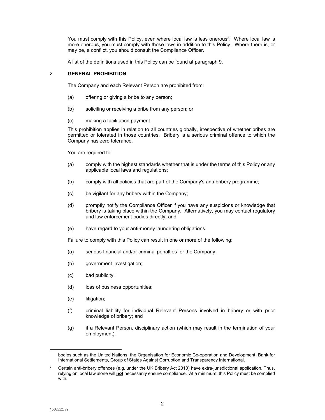You must comply with this Policy, even where local law is less onerous<sup>2</sup>. Where local law is more onerous, you must comply with those laws in addition to this Policy. Where there is, or may be, a conflict, you should consult the Compliance Officer.

A list of the definitions used in this Policy can be found at paragraph 9.

### 2. **GENERAL PROHIBITION**

The Company and each Relevant Person are prohibited from:

- (a) offering or giving a bribe to any person;
- (b) soliciting or receiving a bribe from any person; or
- (c) making a facilitation payment.

This prohibition applies in relation to all countries globally, irrespective of whether bribes are permitted or tolerated in those countries. Bribery is a serious criminal offence to which the Company has zero tolerance.

You are required to:

- (a) comply with the highest standards whether that is under the terms of this Policy or any applicable local laws and regulations;
- (b) comply with all policies that are part of the Company's anti-bribery programme;
- (c) be vigilant for any bribery within the Company;
- (d) promptly notify the Compliance Officer if you have any suspicions or knowledge that bribery is taking place within the Company. Alternatively, you may contact regulatory and law enforcement bodies directly; and
- (e) have regard to your anti-money laundering obligations.

Failure to comply with this Policy can result in one or more of the following:

- (a) serious financial and/or criminal penalties for the Company;
- (b) government investigation;
- (c) bad publicity;
- (d) loss of business opportunities;
- (e) litigation;
- (f) criminal liability for individual Relevant Persons involved in bribery or with prior knowledge of bribery; and
- (g) if a Relevant Person, disciplinary action (which may result in the termination of your employment).

 bodies such as the United Nations, the Organisation for Economic Co-operation and Development, Bank for International Settlements, Group of States Against Corruption and Transparency International.

<sup>&</sup>lt;sup>2</sup> Certain anti-bribery offences (e.g. under the UK Bribery Act 2010) have extra-jurisdictional application. Thus, relying on local law alone will **not** necessarily ensure compliance. At a minimum, this Policy must be complied with.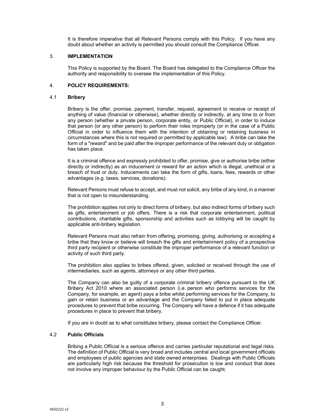It is therefore imperative that all Relevant Persons comply with this Policy. If you have any doubt about whether an activity is permitted you should consult the Compliance Officer.

### 3. **IMPLEMENTATION**

This Policy is supported by the Board. The Board has delegated to the Compliance Officer the authority and responsibility to oversee the implementation of this Policy.

# 4. **POLICY REQUIREMENTS:**

### 4.1 **Bribery**

Bribery is the offer, promise, payment, transfer, request, agreement to receive or receipt of anything of value (financial or otherwise), whether directly or indirectly, at any time to or from any person (whether a private person, corporate entity, or Public Official), in order to induce that person (or any other person) to perform their roles improperly (or in the case of a Public Official in order to influence them with the intention of obtaining or retaining business in circumstances where this is not required or permitted by applicable law). A bribe can take the form of a "reward" and be paid after the improper performance of the relevant duty or obligation has taken place.

It is a criminal offence and expressly prohibited to offer, promise, give or authorise bribe (either directly or indirectly) as an inducement or reward for an action which is illegal, unethical or a breach of trust or duty. Inducements can take the form of gifts, loans, fees, rewards or other advantages (e.g. taxes, services, donations).

Relevant Persons must refuse to accept, and must not solicit, any bribe of any kind, in a manner that is not open to misunderstanding.

The prohibition applies not only to direct forms of bribery, but also indirect forms of bribery such as gifts, entertainment or job offers. There is a risk that corporate entertainment, political contributions, charitable gifts, sponsorship and activities such as lobbying will be caught by applicable anti-bribery legislation.

Relevant Persons must also refrain from offering, promising, giving, authorising or accepting a bribe that they know or believe will breach the gifts and entertainment policy of a prospective third party recipient or otherwise constitute the improper performance of a relevant function or activity of such third party.

The prohibition also applies to bribes offered, given, solicited or received through the use of intermediaries, such as agents, attorneys or any other third parties.

The Company can also be guilty of a corporate criminal bribery offence pursuant to the UK Bribery Act 2010 where an associated person (i.e. person who performs services for the Company, for example, an agent) pays a bribe whilst performing services for the Company, to gain or retain business or an advantage and the Company failed to put in place adequate procedures to prevent that bribe occurring. The Company will have a defence if it has adequate procedures in place to prevent that bribery.

If you are in doubt as to what constitutes bribery, please contact the Compliance Officer.

#### 4.2 **Public Officials**

Bribing a Public Official is a serious offence and carries particular reputational and legal risks. The definition of Public Official is very broad and includes central and local government officials and employees of public agencies and state owned enterprises. Dealings with Public Officials are particularly high risk because the threshold for prosecution is low and conduct that does not involve any improper behaviour by the Public Official can be caught.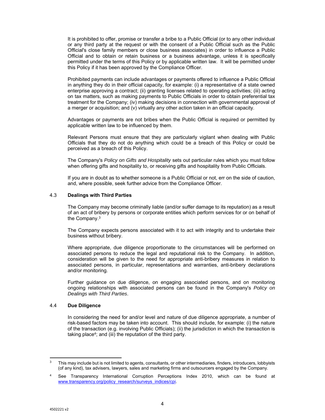It is prohibited to offer, promise or transfer a bribe to a Public Official (or to any other individual or any third party at the request or with the consent of a Public Official such as the Public Official's close family members or close business associates) in order to influence a Public Official and to obtain or retain business or a business advantage, unless it is specifically permitted under the terms of this Policy or by applicable written law. It will be permitted under this Policy if it has been approved by the Compliance Officer.

Prohibited payments can include advantages or payments offered to influence a Public Official in anything they do in their official capacity, for example: (i) a representative of a state owned enterprise approving a contract; (ii) granting licenses related to operating activities; (iii) acting on tax matters, such as making payments to Public Officials in order to obtain preferential tax treatment for the Company; (iv) making decisions in connection with governmental approval of a merger or acquisition; and (v) virtually any other action taken in an official capacity.

Advantages or payments are not bribes when the Public Official is required or permitted by applicable written law to be influenced by them.

Relevant Persons must ensure that they are particularly vigilant when dealing with Public Officials that they do not do anything which could be a breach of this Policy or could be perceived as a breach of this Policy.

The Company's *Policy on Gifts and Hospitality* sets out particular rules which you must follow when offering gifts and hospitality to, or receiving gifts and hospitality from Public Officials.

If you are in doubt as to whether someone is a Public Official or not, err on the side of caution, and, where possible, seek further advice from the Compliance Officer.

# 4.3 **Dealings with Third Parties**

The Company may become criminally liable (and/or suffer damage to its reputation) as a result of an act of bribery by persons or corporate entities which perform services for or on behalf of the Company.3

The Company expects persons associated with it to act with integrity and to undertake their business without bribery.

Where appropriate, due diligence proportionate to the circumstances will be performed on associated persons to reduce the legal and reputational risk to the Company. In addition, consideration will be given to the need for appropriate anti-bribery measures in relation to associated persons, in particular, representations and warranties, anti-bribery declarations and/or monitoring.

Further guidance on due diligence, on engaging associated persons, and on monitoring ongoing relationships with associated persons can be found in the Company's *Policy on Dealings with Third Parties*.

#### 4.4 **Due Diligence**

In considering the need for and/or level and nature of due diligence appropriate, a number of risk-based factors may be taken into account. This should include, for example: (i) the nature of the transaction (e.g. involving Public Officials); (ii) the jurisdiction in which the transaction is taking place<sup>4</sup>; and (iii) the reputation of the third party.

  $3$  This may include but is not limited to agents, consultants, or other intermediaries, finders, introducers, lobbyists (of any kind), tax advisers, lawyers, sales and marketing firms and outsourcers engaged by the Company.

<sup>4</sup> See Transparency International Corruption Perceptions Index 2010, which can be found at www.transparency.org/policy\_research/surveys\_indices/cpi.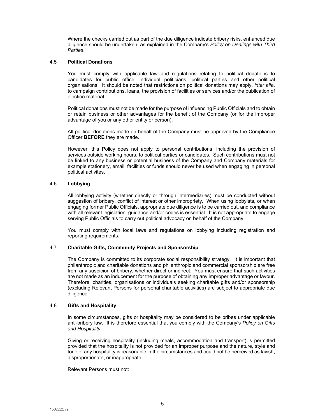Where the checks carried out as part of the due diligence indicate bribery risks, enhanced due diligence should be undertaken, as explained in the Company's *Policy on Dealings with Third Parties*.

### 4.5 **Political Donations**

You must comply with applicable law and regulations relating to political donations to candidates for public office, individual politicians, political parties and other political organisations. It should be noted that restrictions on political donations may apply, *inter alia*, to campaign contributions, loans, the provision of facilities or services and/or the publication of election material.

Political donations must not be made for the purpose of influencing Public Officials and to obtain or retain business or other advantages for the benefit of the Company (or for the improper advantage of you or any other entity or person).

All political donations made on behalf of the Company must be approved by the Compliance Officer **BEFORE** they are made.

However, this Policy does not apply to personal contributions, including the provision of services outside working hours, to political parties or candidates. Such contributions must not be linked to any business or potential business of the Company and Company materials for example stationery, email, facilities or funds should never be used when engaging in personal political activites.

# 4.6 **Lobbying**

All lobbying activity (whether directly or through intermediaries) must be conducted without suggestion of bribery, conflict of interest or other impropriety. When using lobbyists, or when engaging former Public Officials, appropriate due diligence is to be carried out, and compliance with all relevant legislation, guidance and/or codes is essential. It is not appropriate to engage serving Public Officials to carry out political advocacy on behalf of the Company.

You must comply with local laws and regulations on lobbying including registration and reporting requirements.

# 4.7 **Charitable Gifts, Community Projects and Sponsorship**

The Company is committed to its corporate social responsibility strategy. It is important that philanthropic and charitable donations and philanthropic and commercial sponsorship are free from any suspicion of bribery, whether direct or indirect. You must ensure that such activities are not made as an inducement for the purpose of obtaining any improper advantage or favour. Therefore, charities, organisations or individuals seeking charitable gifts and/or sponsorship (excluding Relevant Persons for personal charitable activities) are subject to appropriate due diligence.

#### 4.8 **Gifts and Hospitality**

In some circumstances, gifts or hospitality may be considered to be bribes under applicable anti-bribery law. It is therefore essential that you comply with the Company's *Policy on Gifts and Hospitality*.

Giving or receiving hospitality (including meals, accommodation and transport) is permitted provided that the hospitality is not provided for an improper purpose and the nature, style and tone of any hospitality is reasonable in the circumstances and could not be perceived as lavish, disproportionate, or inappropriate.

Relevant Persons must not: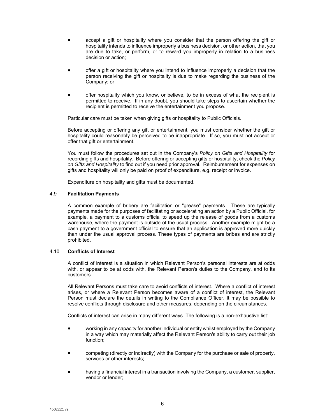- accept a gift or hospitality where you consider that the person offering the gift or hospitality intends to influence improperly a business decision, or other action, that you are due to take, or perform, or to reward you improperly in relation to a business decision or action;
- offer a gift or hospitality where you intend to influence improperly a decision that the person receiving the gift or hospitality is due to make regarding the business of the Company; or
- offer hospitality which you know, or believe, to be in excess of what the recipient is permitted to receive. If in any doubt, you should take steps to ascertain whether the recipient is permitted to receive the entertainment you propose.

Particular care must be taken when giving gifts or hospitality to Public Officials.

Before accepting or offering any gift or entertainment, you must consider whether the gift or hospitality could reasonably be perceived to be inappropriate. If so, you must not accept or offer that gift or entertainment.

You must follow the procedures set out in the Company's *Policy on Gifts and Hospitality* for recording gifts and hospitality. Before offering or accepting gifts or hospitality, check the *Policy on Gifts and Hospitality* to find out if you need prior approval. Reimbursement for expenses on gifts and hospitality will only be paid on proof of expenditure, e.g. receipt or invoice.

Expenditure on hospitality and gifts must be documented.

# 4.9 **Facilitation Payments**

A common example of bribery are facilitation or "grease" payments. These are typically payments made for the purposes of facilitating or accelerating an action by a Public Official, for example, a payment to a customs official to speed up the release of goods from a customs warehouse, where the payment is outside of the usual process. Another example might be a cash payment to a government official to ensure that an application is approved more quickly than under the usual approval process. These types of payments are bribes and are strictly prohibited.

#### 4.10 **Conflicts of Interest**

A conflict of interest is a situation in which Relevant Person's personal interests are at odds with, or appear to be at odds with, the Relevant Person's duties to the Company, and to its customers.

All Relevant Persons must take care to avoid conflicts of interest. Where a conflict of interest arises, or where a Relevant Person becomes aware of a conflict of interest, the Relevant Person must declare the details in writing to the Compliance Officer. It may be possible to resolve conflicts through disclosure and other measures, depending on the circumstances.

Conflicts of interest can arise in many different ways. The following is a non-exhaustive list:

- working in any capacity for another individual or entity whilst employed by the Company in a way which may materially affect the Relevant Person's ability to carry out their job function;
- competing (directly or indirectly) with the Company for the purchase or sale of property, services or other interests;
- having a financial interest in a transaction involving the Company, a customer, supplier, vendor or lender;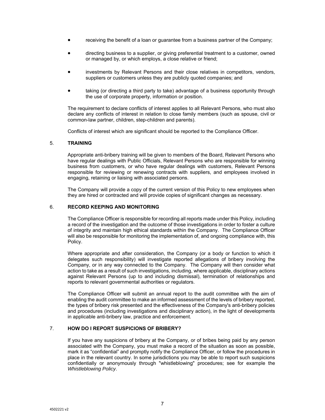- receiving the benefit of a loan or guarantee from a business partner of the Company;
- directing business to a supplier, or giving preferential treatment to a customer, owned or managed by, or which employs, a close relative or friend;
- investments by Relevant Persons and their close relatives in competitors, vendors, suppliers or customers unless they are publicly quoted companies; and
- taking (or directing a third party to take) advantage of a business opportunity through the use of corporate property, information or position.

The requirement to declare conflicts of interest applies to all Relevant Persons, who must also declare any conflicts of interest in relation to close family members (such as spouse, civil or common-law partner, children, step-children and parents).

Conflicts of interest which are significant should be reported to the Compliance Officer.

# 5. **TRAINING**

Appropriate anti-bribery training will be given to members of the Board, Relevant Persons who have regular dealings with Public Officials, Relevant Persons who are responsible for winning business from customers, or who have regular dealings with customers, Relevant Persons responsible for reviewing or renewing contracts with suppliers, and employees involved in engaging, retaining or liaising with associated persons.

The Company will provide a copy of the current version of this Policy to new employees when they are hired or contracted and will provide copies of significant changes as necessary.

# 6. **RECORD KEEPING AND MONITORING**

The Compliance Officer is responsible for recording all reports made under this Policy, including a record of the investigation and the outcome of those investigations in order to foster a culture of integrity and maintain high ethical standards within the Company. The Compliance Officer will also be responsible for monitoring the implementation of, and ongoing compliance with, this Policy.

Where appropriate and after consideration, the Company (or a body or function to which it delegates such responsibility) will investigate reported allegations of bribery involving the Company, or in any way connected to the Company. The Company will then consider what action to take as a result of such investigations, including, where applicable, disciplinary actions against Relevant Persons (up to and including dismissal), termination of relationships and reports to relevant governmental authorities or regulators.

The Compliance Officer will submit an annual report to the audit committee with the aim of enabling the audit committee to make an informed assessment of the levels of bribery reported, the types of bribery risk presented and the effectiveness of the Company's anti-bribery policies and procedures (including investigations and disciplinary action), in the light of developments in applicable anti-bribery law, practice and enforcement.

# 7. **HOW DO I REPORT SUSPICIONS OF BRIBERY?**

If you have any suspicions of bribery at the Company, or of bribes being paid by any person associated with the Company, you must make a record of the situation as soon as possible, mark it as "confidential" and promptly notify the Compliance Officer, or follow the procedures in place in the relevant country. In some jurisdictions you may be able to report such suspicions confidentially or anonymously through "whistleblowing" procedures; see for example the *Whistleblowing Policy*.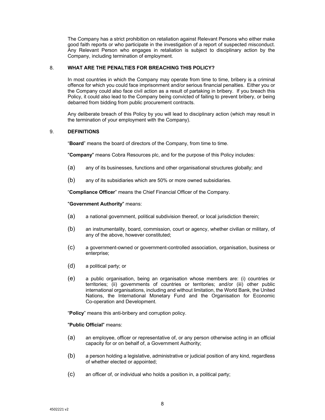The Company has a strict prohibition on retaliation against Relevant Persons who either make good faith reports or who participate in the investigation of a report of suspected misconduct. Any Relevant Person who engages in retaliation is subject to disciplinary action by the Company, including termination of employment.

# 8. **WHAT ARE THE PENALTIES FOR BREACHING THIS POLICY?**

In most countries in which the Company may operate from time to time, bribery is a criminal offence for which you could face imprisonment and/or serious financial penalties. Either you or the Company could also face civil action as a result of partaking in bribery. If you breach this Policy, it could also lead to the Company being convicted of failing to prevent bribery, or being debarred from bidding from public procurement contracts.

Any deliberate breach of this Policy by you will lead to disciplinary action (which may result in the termination of your employment with the Company).

# 9. **DEFINITIONS**

"**Board**" means the board of directors of the Company, from time to time.

"**Company**" means Cobra Resources plc, and for the purpose of this Policy includes:

- (a) any of its businesses, functions and other organisational structures globally; and
- (b) any of its subsidiaries which are 50% or more owned subsidiaries.

"**Compliance Officer**" means the Chief Financial Officer of the Company.

#### "**Government Authority**" means:

- (a) a national government, political subdivision thereof, or local jurisdiction therein;
- (b) an instrumentality, board, commission, court or agency, whether civilian or military, of any of the above, however constituted;
- (c) a government-owned or government-controlled association, organisation, business or enterprise;
- (d) a political party; or
- (e) a public organisation, being an organisation whose members are: (i) countries or territories; (ii) governments of countries or territories; and/or (iii) other public international organisations, including and without limitation, the World Bank, the United Nations, the International Monetary Fund and the Organisation for Economic Co-operation and Development.

"**Policy**" means this anti-bribery and corruption policy.

#### "**Public Official**" means:

- (a) an employee, officer or representative of, or any person otherwise acting in an official capacity for or on behalf of, a Government Authority;
- (b) a person holding a legislative, administrative or judicial position of any kind, regardless of whether elected or appointed;
- (c) an officer of, or individual who holds a position in, a political party;